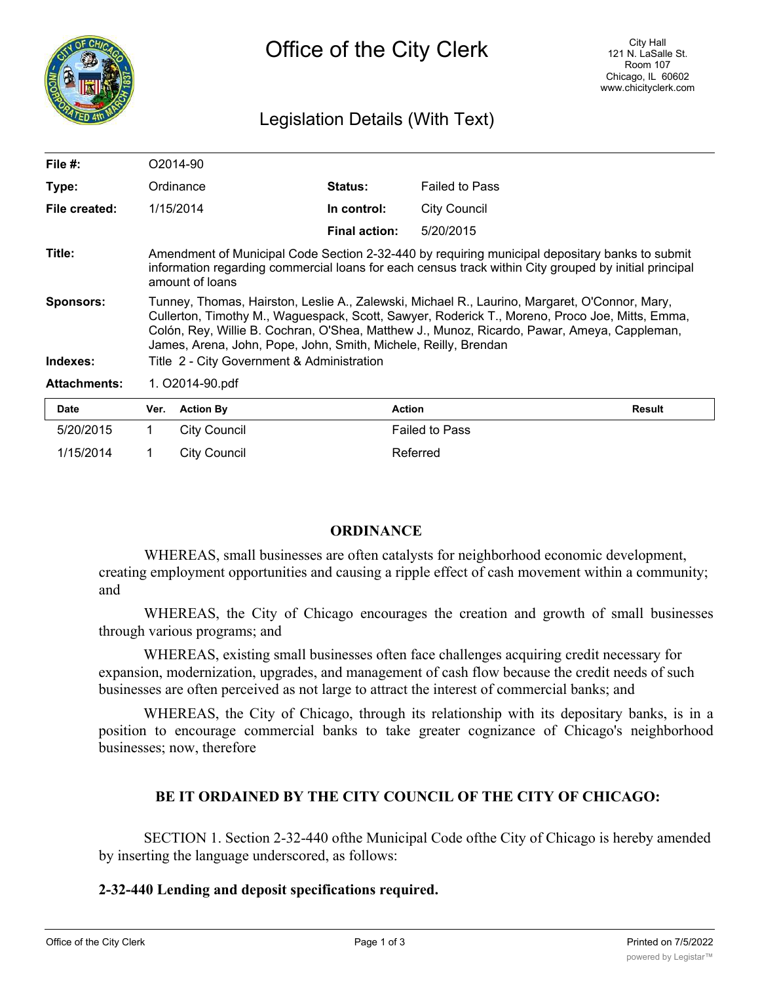

## Legislation Details (With Text)

| File $#$ :          |                                                                                                                                                                                                                                                                                                                                                                   | O <sub>2014-90</sub> |                      |                       |               |
|---------------------|-------------------------------------------------------------------------------------------------------------------------------------------------------------------------------------------------------------------------------------------------------------------------------------------------------------------------------------------------------------------|----------------------|----------------------|-----------------------|---------------|
| Type:               | Ordinance                                                                                                                                                                                                                                                                                                                                                         |                      | <b>Status:</b>       | <b>Failed to Pass</b> |               |
| File created:       |                                                                                                                                                                                                                                                                                                                                                                   | 1/15/2014            | In control:          | <b>City Council</b>   |               |
|                     |                                                                                                                                                                                                                                                                                                                                                                   |                      | <b>Final action:</b> | 5/20/2015             |               |
| Title:              | Amendment of Municipal Code Section 2-32-440 by requiring municipal depositary banks to submit<br>information regarding commercial loans for each census track within City grouped by initial principal<br>amount of loans                                                                                                                                        |                      |                      |                       |               |
| <b>Sponsors:</b>    | Tunney, Thomas, Hairston, Leslie A., Zalewski, Michael R., Laurino, Margaret, O'Connor, Mary,<br>Cullerton, Timothy M., Waguespack, Scott, Sawyer, Roderick T., Moreno, Proco Joe, Mitts, Emma,<br>Colón, Rey, Willie B. Cochran, O'Shea, Matthew J., Munoz, Ricardo, Pawar, Ameya, Cappleman,<br>James, Arena, John, Pope, John, Smith, Michele, Reilly, Brendan |                      |                      |                       |               |
| Indexes:            | Title 2 - City Government & Administration                                                                                                                                                                                                                                                                                                                        |                      |                      |                       |               |
| <b>Attachments:</b> | 1. O2014-90.pdf                                                                                                                                                                                                                                                                                                                                                   |                      |                      |                       |               |
| <b>Date</b>         | Ver.                                                                                                                                                                                                                                                                                                                                                              | <b>Action By</b>     | <b>Action</b>        |                       | <b>Result</b> |
| 5/20/2015           |                                                                                                                                                                                                                                                                                                                                                                   | <b>City Council</b>  |                      | <b>Failed to Pass</b> |               |

## **ORDINANCE**

WHEREAS, small businesses are often catalysts for neighborhood economic development, creating employment opportunities and causing a ripple effect of cash movement within a community; and

WHEREAS, the City of Chicago encourages the creation and growth of small businesses through various programs; and

WHEREAS, existing small businesses often face challenges acquiring credit necessary for expansion, modernization, upgrades, and management of cash flow because the credit needs of such businesses are often perceived as not large to attract the interest of commercial banks; and

WHEREAS, the City of Chicago, through its relationship with its depositary banks, is in a position to encourage commercial banks to take greater cognizance of Chicago's neighborhood businesses; now, therefore

## **BE IT ORDAINED BY THE CITY COUNCIL OF THE CITY OF CHICAGO:**

SECTION 1. Section 2-32-440 ofthe Municipal Code ofthe City of Chicago is hereby amended by inserting the language underscored, as follows:

## **2-32-440 Lending and deposit specifications required.**

1/15/2014 1 City Council 11 Referred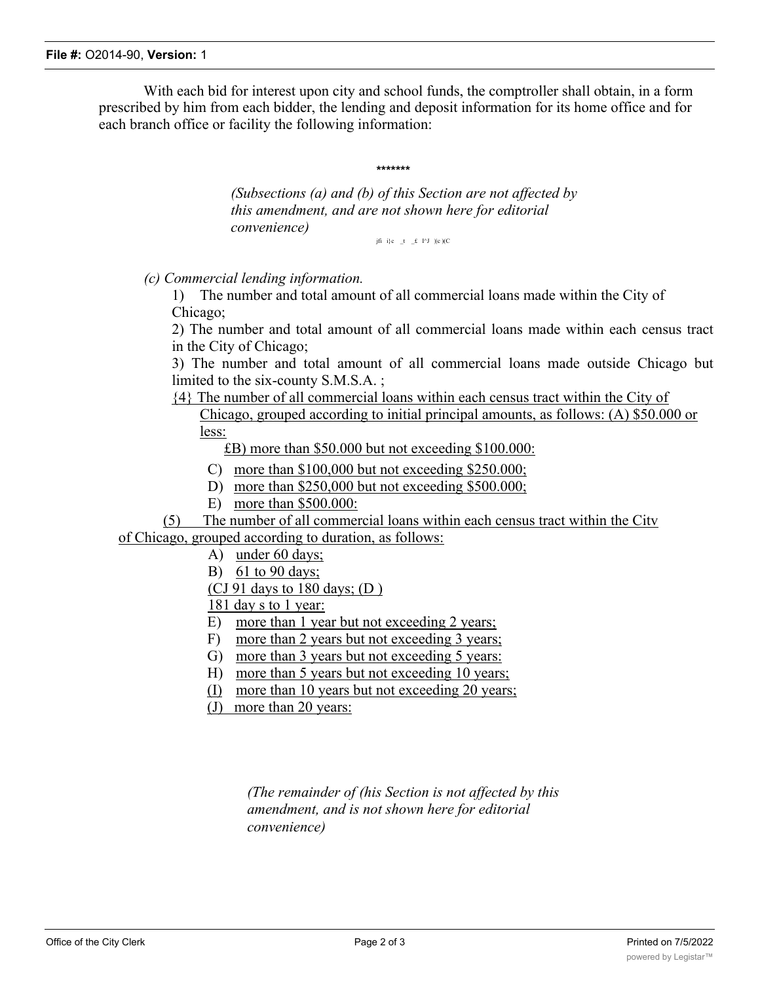With each bid for interest upon city and school funds, the comptroller shall obtain, in a form prescribed by him from each bidder, the lending and deposit information for its home office and for each branch office or facility the following information:

**\*\*\*\*\*\*\***

*(Subsections (a) and (b) of this Section are not affected by this amendment, and are not shown here for editorial convenience)*

jfi i}c  $_t = f \cdot I^J$  )|c )(C

*(c) Commercial lending information.*

1) The number and total amount of all commercial loans made within the City of Chicago;

2) The number and total amount of all commercial loans made within each census tract in the City of Chicago;

3) The number and total amount of all commercial loans made outside Chicago but limited to the six-county S.M.S.A. ;

{4} The number of all commercial loans within each census tract within the City of

Chicago, grouped according to initial principal amounts, as follows: (A) \$50.000 or less:

£B) more than \$50.000 but not exceeding \$100.000:

C) more than \$100,000 but not exceeding \$250.000;

D) more than \$250,000 but not exceeding \$500.000;

E) more than \$500.000:

(5) The number of all commercial loans within each census tract within the Citv of Chicago, grouped according to duration, as follows:

- A) under 60 days;
- B) 61 to 90 days;
- (CJ 91 days to 180 days;  $(D)$ )

181 day s to 1 year:

- E) more than 1 year but not exceeding 2 years;
- F) more than 2 years but not exceeding 3 years;
- G) more than 3 years but not exceeding 5 years:
- H) more than 5 years but not exceeding 10 years;
- (I) more than 10 years but not exceeding 20 years;
- (J) more than 20 years:

*(The remainder of (his Section is not affected by this amendment, and is not shown here for editorial convenience)*